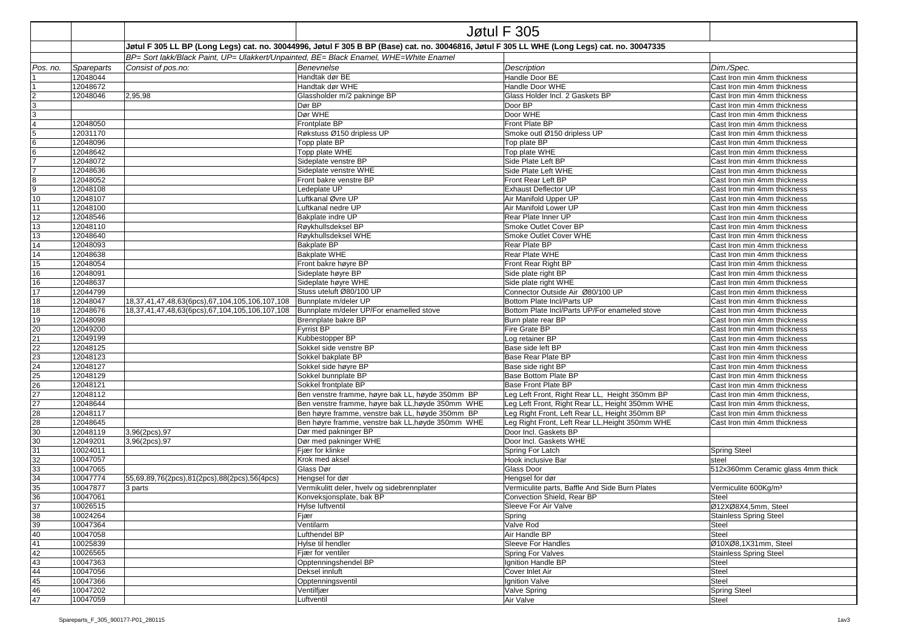|                                        |                      |                                                                                                                                                                                                                                       |                                                   | Jøtul F 305                                     |                                                            |  |  |  |
|----------------------------------------|----------------------|---------------------------------------------------------------------------------------------------------------------------------------------------------------------------------------------------------------------------------------|---------------------------------------------------|-------------------------------------------------|------------------------------------------------------------|--|--|--|
|                                        |                      |                                                                                                                                                                                                                                       |                                                   |                                                 |                                                            |  |  |  |
|                                        |                      | Jøtul F 305 LL BP (Long Legs) cat. no. 30044996, Jøtul F 305 B BP (Base) cat. no. 30046816, Jøtul F 305 LL WHE (Long Legs) cat. no. 30047335<br>BP= Sort lakk/Black Paint, UP= Ulakkert/Unpainted, BE= Black Enamel, WHE=White Enamel |                                                   |                                                 |                                                            |  |  |  |
| Pos. no.                               | Spareparts           | Consist of pos.no:                                                                                                                                                                                                                    | <b>Benevnelse</b>                                 | Description                                     | Dim./Spec.                                                 |  |  |  |
|                                        | 12048044             |                                                                                                                                                                                                                                       | Handtak dør BE                                    | Handle Door BE                                  | Cast Iron min 4mm thickness                                |  |  |  |
|                                        | 12048672             |                                                                                                                                                                                                                                       | Handtak dør WHE                                   | Handle Door WHE                                 | Cast Iron min 4mm thickness                                |  |  |  |
| $\overline{2}$                         | 12048046             | 2,95,98                                                                                                                                                                                                                               | Glassholder m/2 pakninge BP                       | Glass Holder Incl. 2 Gaskets BP                 | Cast Iron min 4mm thickness                                |  |  |  |
| 3                                      |                      |                                                                                                                                                                                                                                       | Dør BP                                            | Door BP                                         | Cast Iron min 4mm thickness                                |  |  |  |
| 3                                      |                      |                                                                                                                                                                                                                                       | Dør WHE                                           | Door WHE                                        | Cast Iron min 4mm thickness                                |  |  |  |
| $\overline{4}$                         | 12048050             |                                                                                                                                                                                                                                       | Frontplate BP                                     | Front Plate BP                                  | Cast Iron min 4mm thickness                                |  |  |  |
| 5                                      | 12031170             |                                                                                                                                                                                                                                       | Røkstuss Ø150 dripless UP                         | Smoke outl Ø150 dripless UP                     | Cast Iron min 4mm thickness                                |  |  |  |
| 6                                      | 12048096             |                                                                                                                                                                                                                                       | Topp plate BP                                     | Top plate BP                                    | Cast Iron min 4mm thickness                                |  |  |  |
| $6\phantom{1}6$                        | 12048642             |                                                                                                                                                                                                                                       | Topp plate WHE                                    | Top plate WHE                                   | Cast Iron min 4mm thickness                                |  |  |  |
|                                        | 12048072             |                                                                                                                                                                                                                                       | Sideplate venstre BP                              | Side Plate Left BP                              | Cast Iron min 4mm thickness                                |  |  |  |
|                                        | 12048636             |                                                                                                                                                                                                                                       | Sideplate venstre WHE                             | Side Plate Left WHE                             | Cast Iron min 4mm thickness                                |  |  |  |
| 8                                      | 12048052             |                                                                                                                                                                                                                                       | Front bakre venstre BP                            | Front Rear Left BP                              | Cast Iron min 4mm thickness                                |  |  |  |
| 9                                      | 12048108             |                                                                                                                                                                                                                                       | Ledeplate UP                                      | <b>Exhaust Deflector UP</b>                     | Cast Iron min 4mm thickness                                |  |  |  |
| 10                                     | 12048107             |                                                                                                                                                                                                                                       | Luftkanal Øvre UP                                 | Air Manifold Upper UP                           | Cast Iron min 4mm thickness                                |  |  |  |
| 11                                     | 12048100             |                                                                                                                                                                                                                                       | Luftkanal nedre UP                                | Air Manifold Lower UP                           | Cast Iron min 4mm thickness                                |  |  |  |
| 12                                     | 12048546             |                                                                                                                                                                                                                                       | Bakplate indre UP                                 | Rear Plate Inner UP                             | Cast Iron min 4mm thickness                                |  |  |  |
| 13                                     | 12048110             |                                                                                                                                                                                                                                       | Røykhullsdeksel BP                                | Smoke Outlet Cover BP                           | Cast Iron min 4mm thickness                                |  |  |  |
| 13                                     | 12048640             |                                                                                                                                                                                                                                       | Røykhullsdeksel WHE                               | Smoke Outlet Cover WHE                          | Cast Iron min 4mm thickness                                |  |  |  |
| 14                                     | 12048093             |                                                                                                                                                                                                                                       | Bakplate BP                                       | Rear Plate BP                                   | Cast Iron min 4mm thickness                                |  |  |  |
| 14                                     | 12048638             |                                                                                                                                                                                                                                       | Bakplate WHE                                      | Rear Plate WHE                                  | Cast Iron min 4mm thickness                                |  |  |  |
| 15                                     | 12048054             |                                                                                                                                                                                                                                       | Front bakre høyre BP                              | Front Rear Right BP                             | Cast Iron min 4mm thickness                                |  |  |  |
| 16                                     | 12048091             |                                                                                                                                                                                                                                       | Sideplate høyre BP                                | Side plate right BP                             | Cast Iron min 4mm thickness                                |  |  |  |
| 16                                     | 12048637             |                                                                                                                                                                                                                                       | Sideplate høyre WHE                               | Side plate right WHE                            | Cast Iron min 4mm thickness                                |  |  |  |
| 17                                     | 12044799             |                                                                                                                                                                                                                                       | Stuss uteluft Ø80/100 UP                          | Connector Outside Air Ø80/100 UP                | Cast Iron min 4mm thickness                                |  |  |  |
| 18                                     | 12048047             | 18,37,41,47,48,63(6pcs),67,104,105,106,107,108                                                                                                                                                                                        | Bunnplate m/deler UP                              | Bottom Plate Incl/Parts UP                      | Cast Iron min 4mm thickness                                |  |  |  |
| 18                                     | 12048676             | 18,37,41,47,48,63(6pcs),67,104,105,106,107,108                                                                                                                                                                                        | Bunnplate m/deler UP/For enamelled stove          | Bottom Plate Incl/Parts UP/For enameled stove   | Cast Iron min 4mm thickness                                |  |  |  |
| 19                                     | 12048098<br>12049200 |                                                                                                                                                                                                                                       | Brennplate bakre BP<br><b>Fyrrist BP</b>          | Burn plate rear BP                              | Cast Iron min 4mm thickness                                |  |  |  |
| 20                                     | 12049199             |                                                                                                                                                                                                                                       | Kubbestopper BP                                   | <b>Fire Grate BP</b><br>Log retainer BP         | Cast Iron min 4mm thickness<br>Cast Iron min 4mm thickness |  |  |  |
| 21<br>22<br>23<br>24<br>25<br>26<br>27 | 12048125             |                                                                                                                                                                                                                                       | Sokkel side venstre BP                            | Base side left BP                               | Cast Iron min 4mm thickness                                |  |  |  |
|                                        | 12048123             |                                                                                                                                                                                                                                       | Sokkel bakplate BP                                | Base Rear Plate BP                              | Cast Iron min 4mm thickness                                |  |  |  |
|                                        | 12048127             |                                                                                                                                                                                                                                       | Sokkel side høyre BP                              | Base side right BP                              | Cast Iron min 4mm thickness                                |  |  |  |
|                                        | 12048129             |                                                                                                                                                                                                                                       | Sokkel bunnplate BP                               | Base Bottom Plate BP                            | Cast Iron min 4mm thickness                                |  |  |  |
|                                        | 12048121             |                                                                                                                                                                                                                                       | Sokkel frontplate BP                              | <b>Base Front Plate BP</b>                      | Cast Iron min 4mm thickness                                |  |  |  |
|                                        | 12048112             |                                                                                                                                                                                                                                       | Ben venstre framme, høyre bak LL, høyde 350mm BP  | Leg Left Front, Right Rear LL, Height 350mm BP  | Cast Iron min 4mm thickness,                               |  |  |  |
| 27                                     | 12048644             |                                                                                                                                                                                                                                       | Ben venstre framme, høyre bak LL, høyde 350mm WHE | Leg Left Front, Right Rear LL, Height 350mm WHE | Cast Iron min 4mm thickness,                               |  |  |  |
| 28                                     | 12048117             |                                                                                                                                                                                                                                       | Ben høyre framme, venstre bak LL, høyde 350mm BP  | Leg Right Front, Left Rear LL, Height 350mm BP  | Cast Iron min 4mm thickness                                |  |  |  |
| 28                                     | 12048645             |                                                                                                                                                                                                                                       | Ben høyre framme, venstre bak LL, høyde 350mm WHE | Leg Right Front, Left Rear LL, Height 350mm WHE | Cast Iron min 4mm thickness                                |  |  |  |
| 30 <sup>2</sup>                        | 12048119             | 3,96(2pcs),97                                                                                                                                                                                                                         | Dør med pakninger BP                              | Door Incl. Gaskets BP                           |                                                            |  |  |  |
| 30                                     | 12049201             | 3,96(2pcs),97                                                                                                                                                                                                                         | Dør med pakninger WHE                             | Door Incl. Gaskets WHE                          |                                                            |  |  |  |
| 31                                     | 10024011             |                                                                                                                                                                                                                                       | Fiær for klinke                                   | Spring For Latch                                | <b>Spring Steel</b>                                        |  |  |  |
| 32                                     | 10047057             |                                                                                                                                                                                                                                       | Krok med aksel                                    | Hook inclusive Bar                              | steel                                                      |  |  |  |
| 33                                     | 10047065             |                                                                                                                                                                                                                                       | Glass Dør                                         | Glass Door                                      | 512x360mm Ceramic glass 4mm thick                          |  |  |  |
| 34                                     | 10047774             | 55,69,89,76(2pcs),81(2pcs),88(2pcs),56(4pcs)                                                                                                                                                                                          | Hengsel for dør                                   | Hengsel for dør                                 |                                                            |  |  |  |
| 35                                     | 10047877             | 3 parts                                                                                                                                                                                                                               | Vermikulitt deler, hvelv og sidebrennplater       | Vermiculite parts, Baffle And Side Burn Plates  | Vermiculite 600Kg/m <sup>3</sup>                           |  |  |  |
| 36                                     | 10047061             |                                                                                                                                                                                                                                       | Konveksjonsplate, bak BP                          | Convection Shield, Rear BP                      | Steel                                                      |  |  |  |
| 37                                     | 10026515             |                                                                                                                                                                                                                                       | Hylse luftventil                                  | Sleeve For Air Valve                            | Ø12XØ8X4,5mm, Steel                                        |  |  |  |
| 38                                     | 10024264             |                                                                                                                                                                                                                                       | Fjær                                              | Spring                                          | <b>Stainless Spring Steel</b>                              |  |  |  |
| 39                                     | 10047364             |                                                                                                                                                                                                                                       | Ventilarm                                         | Valve Rod                                       | Steel                                                      |  |  |  |
| 40                                     | 10047058             |                                                                                                                                                                                                                                       | Lufthendel BP                                     | Air Handle BP                                   | Steel                                                      |  |  |  |
| 41                                     | 10025839             |                                                                                                                                                                                                                                       | Hylse til hendler                                 | Sleeve For Handles                              | Ø10XØ8,1X31mm, Steel                                       |  |  |  |
| 42                                     | 10026565             |                                                                                                                                                                                                                                       | Fjær for ventiler                                 | Spring For Valves                               | <b>Stainless Spring Steel</b>                              |  |  |  |
| 43<br>44                               | 10047363             |                                                                                                                                                                                                                                       | Opptenningshendel BP<br>Deksel innluft            | Ignition Handle BP                              | Steel                                                      |  |  |  |
|                                        | 10047056<br>10047366 |                                                                                                                                                                                                                                       | Opptenningsventil                                 | Cover Inlet Air                                 | Steel                                                      |  |  |  |
| 45<br>46                               | 10047202             |                                                                                                                                                                                                                                       | Ventilfjær                                        | Ignition Valve<br>Valve Spring                  | Steel<br><b>Spring Steel</b>                               |  |  |  |
| 47                                     | 10047059             |                                                                                                                                                                                                                                       | Luftventil                                        | Air Valve                                       | Steel                                                      |  |  |  |
|                                        |                      |                                                                                                                                                                                                                                       |                                                   |                                                 |                                                            |  |  |  |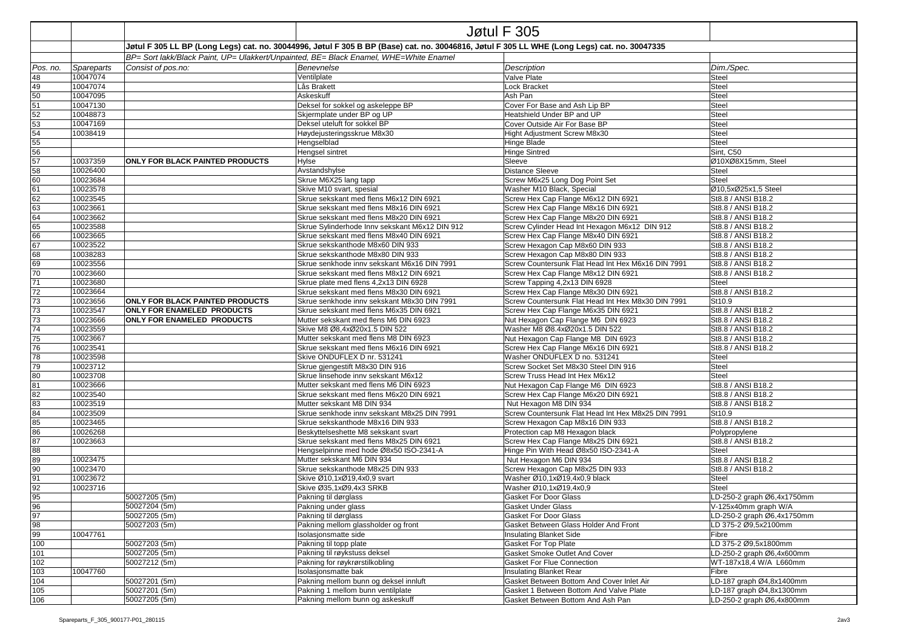|                 |            | Jøtul F 305                                                                                                                                  |                                                |                                                    |                            |  |  |
|-----------------|------------|----------------------------------------------------------------------------------------------------------------------------------------------|------------------------------------------------|----------------------------------------------------|----------------------------|--|--|
|                 |            | Jøtul F 305 LL BP (Long Legs) cat. no. 30044996, Jøtul F 305 B BP (Base) cat. no. 30046816, Jøtul F 305 LL WHE (Long Legs) cat. no. 30047335 |                                                |                                                    |                            |  |  |
|                 |            | BP= Sort lakk/Black Paint, UP= Ulakkert/Unpainted, BE= Black Enamel, WHE=White Enamel                                                        |                                                |                                                    |                            |  |  |
| Pos. no.        | Spareparts | Consist of pos.no:                                                                                                                           | Benevnelse                                     | Description                                        | Dim./Spec.                 |  |  |
| 48              | 10047074   |                                                                                                                                              | Ventilplate                                    | Valve Plate                                        | Steel                      |  |  |
| 49              | 10047074   |                                                                                                                                              | Lås Brakett                                    | Lock Bracket                                       | Steel                      |  |  |
| 50              | 10047095   |                                                                                                                                              | Askeskuff                                      | Ash Pan                                            | Steel                      |  |  |
| 51              | 10047130   |                                                                                                                                              | Deksel for sokkel og askeleppe BP              | Cover For Base and Ash Lip BP                      | Steel                      |  |  |
| 52              | 10048873   |                                                                                                                                              | Skjermplate under BP og UP                     | Heatshield Under BP and UP                         | Steel                      |  |  |
| 53              | 10047169   |                                                                                                                                              | Deksel uteluft for sokkel BP                   | Cover Outside Air For Base BP                      | Steel                      |  |  |
| 54              | 10038419   |                                                                                                                                              | Høydejusteringsskrue M8x30                     | Hight Adjustment Screw M8x30                       | Steel                      |  |  |
| 55              |            |                                                                                                                                              | Hengselblad                                    | <b>Hinge Blade</b>                                 | Steel                      |  |  |
| 56              |            |                                                                                                                                              | Hengsel sintret                                | <b>Hinge Sintred</b>                               | Sint, C50                  |  |  |
| 57              | 10037359   | ONLY FOR BLACK PAINTED PRODUCTS                                                                                                              | Hylse                                          | Sleeve                                             | Ø10XØ8X15mm, Steel         |  |  |
| 58              | 10026400   |                                                                                                                                              | Avstandshylse                                  | <b>Distance Sleeve</b>                             | Steel                      |  |  |
| 60              | 10023684   |                                                                                                                                              | Skrue M6X25 lang tapp                          | Screw M6x25 Long Dog Point Set                     | Steel                      |  |  |
| 61              | 10023578   |                                                                                                                                              | Skive M10 svart, spesial                       | Washer M10 Black, Special                          | Ø10,5xØ25x1,5 Steel        |  |  |
| 62              | 10023545   |                                                                                                                                              | Skrue sekskant med flens M6x12 DIN 6921        | Screw Hex Cap Flange M6x12 DIN 6921                | St8.8 / ANSI B18.2         |  |  |
| 63              | 10023661   |                                                                                                                                              | Skrue sekskant med flens M8x16 DIN 6921        | Screw Hex Cap Flange M8x16 DIN 6921                | St8.8 / ANSI B18.2         |  |  |
| 64              | 10023662   |                                                                                                                                              | Skrue sekskant med flens M8x20 DIN 6921        | Screw Hex Cap Flange M8x20 DIN 6921                | St8.8 / ANSI B18.2         |  |  |
| 65              | 10023588   |                                                                                                                                              | Skrue Sylinderhode Innv sekskant M6x12 DIN 912 | Screw Cylinder Head Int Hexagon M6x12 DIN 912      | St8.8 / ANSI B18.2         |  |  |
| 66              | 10023665   |                                                                                                                                              | Skrue sekskant med flens M8x40 DIN 6921        | Screw Hex Cap Flange M8x40 DIN 6921                | St8.8 / ANSI B18.2         |  |  |
| 67              | 10023522   |                                                                                                                                              | Skrue sekskanthode M8x60 DIN 933               | Screw Hexagon Cap M8x60 DIN 933                    | St8.8 / ANSI B18.2         |  |  |
| 68              | 10038283   |                                                                                                                                              | Skrue sekskanthode M8x80 DIN 933               | Screw Hexagon Cap M8x80 DIN 933                    | St8.8 / ANSI B18.2         |  |  |
| 69              | 10023556   |                                                                                                                                              | Skrue senkhode innv sekskant M6x16 DIN 7991    | Screw Countersunk Flat Head Int Hex M6x16 DIN 7991 | St8.8 / ANSI B18.2         |  |  |
| 70              | 10023660   |                                                                                                                                              | Skrue sekskant med flens M8x12 DIN 6921        | Screw Hex Cap Flange M8x12 DIN 6921                | St8.8 / ANSI B18.2         |  |  |
| 71              | 10023680   |                                                                                                                                              | Skrue plate med flens 4,2x13 DIN 6928          | Screw Tapping 4,2x13 DIN 6928                      | Steel                      |  |  |
| 72              | 10023664   |                                                                                                                                              | Skrue sekskant med flens M8x30 DIN 6921        | Screw Hex Cap Flange M8x30 DIN 6921                | St8.8 / ANSI B18.2         |  |  |
| 73              | 10023656   | <b>ONLY FOR BLACK PAINTED PRODUCTS</b>                                                                                                       | Skrue senkhode innv sekskant M8x30 DIN 7991    | Screw Countersunk Flat Head Int Hex M8x30 DIN 7991 | St10.9                     |  |  |
| 73              | 10023547   | <b>ONLY FOR ENAMELED PRODUCTS</b>                                                                                                            | Skrue sekskant med flens M6x35 DIN 6921        | Screw Hex Cap Flange M6x35 DIN 6921                | St8.8 / ANSI B18.2         |  |  |
| 73              | 10023666   | ONLY FOR ENAMELED PRODUCTS                                                                                                                   | Mutter sekskant med flens M6 DIN 6923          | Nut Hexagon Cap Flange M6 DIN 6923                 | St8.8 / ANSI B18.2         |  |  |
| 74              | 10023559   |                                                                                                                                              | Skive M8 Ø8,4xØ20x1.5 DIN 522                  | Washer M8 Ø8.4xØ20x1.5 DIN 522                     | St8.8 / ANSI B18.2         |  |  |
| $\overline{75}$ | 10023667   |                                                                                                                                              | Mutter sekskant med flens M8 DIN 6923          | Nut Hexagon Cap Flange M8 DIN 6923                 | St8.8 / ANSI B18.2         |  |  |
| 76              | 10023541   |                                                                                                                                              | Skrue sekskant med flens M6x16 DIN 6921        | Screw Hex Cap Flange M6x16 DIN 6921                | St8.8 / ANSI B18.2         |  |  |
| 78              | 10023598   |                                                                                                                                              | Skive ONDUFLEX D nr. 531241                    | Washer ONDUFLEX D no. 531241                       | Steel                      |  |  |
| 79              | 10023712   |                                                                                                                                              | Skrue gjengestift M8x30 DIN 916                | Screw Socket Set M8x30 Steel DIN 916               | Steel                      |  |  |
| 80              | 10023708   |                                                                                                                                              | Skrue linsehode innv sekskant M6x12            | Screw Truss Head Int Hex M6x12                     | Steel                      |  |  |
| 81              | 10023666   |                                                                                                                                              | Mutter sekskant med flens M6 DIN 6923          | Nut Hexagon Cap Flange M6 DIN 6923                 | St8.8 / ANSI B18.2         |  |  |
| 82              | 10023540   |                                                                                                                                              | Skrue sekskant med flens M6x20 DIN 6921        | Screw Hex Cap Flange M6x20 DIN 6921                | St8.8 / ANSI B18.2         |  |  |
| 83              | 10023519   |                                                                                                                                              | Mutter sekskant M8 DIN 934                     | Nut Hexagon M8 DIN 934                             | St8.8 / ANSI B18.2         |  |  |
| 84              | 10023509   |                                                                                                                                              | Skrue senkhode innv sekskant M8x25 DIN 7991    | Screw Countersunk Flat Head Int Hex M8x25 DIN 7991 | St10.9                     |  |  |
| 85              | 10023465   |                                                                                                                                              | Skrue sekskanthode M8x16 DIN 933               | Screw Hexagon Cap M8x16 DIN 933                    | St8.8 / ANSI B18.2         |  |  |
| 86              | 10026268   |                                                                                                                                              | Beskyttelseshette M8 sekskant svart            | Protection cap M8 Hexagon black                    | Polypropylene              |  |  |
| 87              | 10023663   |                                                                                                                                              | Skrue sekskant med flens M8x25 DIN 6921        | Screw Hex Cap Flange M8x25 DIN 6921                | St8.8 / ANSI B18.2         |  |  |
| 88              |            |                                                                                                                                              | Hengselpinne med hode Ø8x50 ISO-2341-A         | Hinge Pin With Head Ø8x50 ISO-2341-A               | Steel                      |  |  |
| 89              | 10023475   |                                                                                                                                              | Mutter sekskant M6 DIN 934                     | Nut Hexagon M6 DIN 934                             | St8.8 / ANSI B18.2         |  |  |
| 90              | 10023470   |                                                                                                                                              | Skrue sekskanthode M8x25 DIN 933               | Screw Hexagon Cap M8x25 DIN 933                    | St8.8 / ANSI B18.2         |  |  |
| 91              | 10023672   |                                                                                                                                              | Skive Ø10.1xØ19.4x0.9 svart                    | Washer Ø10.1xØ19.4x0.9 black                       | Steel                      |  |  |
| 92              | 10023716   |                                                                                                                                              | Skive Ø35.1xØ9.4x3 SRKB                        | Washer Ø10,1xØ19,4x0,9                             | Steel                      |  |  |
| 95              |            | 50027205 (5m)                                                                                                                                | Pakning til dørglass                           | <b>Gasket For Door Glass</b>                       | LD-250-2 graph Ø6,4x1750mm |  |  |
| 96              |            | 50027204 (5m)                                                                                                                                | Pakning under glass                            | Gasket Under Glass                                 | V-125x40mm graph W/A       |  |  |
| 97              |            | 50027205 (5m)                                                                                                                                | Pakning til dørglass                           | Gasket For Door Glass                              | LD-250-2 graph Ø6,4x1750mm |  |  |
| 98              |            | 50027203 (5m)                                                                                                                                | Pakning mellom glassholder og front            | Gasket Between Glass Holder And Front              | LD 375-2 Ø9,5x2100mm       |  |  |
| 99              | 10047761   |                                                                                                                                              | Isolasjonsmatte side                           | <b>Insulating Blanket Side</b>                     | Fibre                      |  |  |
| 100             |            | 50027203 (5m)                                                                                                                                | Pakning til topp plate                         | Gasket For Top Plate                               | LD 375-2 Ø9,5x1800mm       |  |  |
| 101             |            | 50027205 (5m)                                                                                                                                | Pakning til røykstuss deksel                   | Gasket Smoke Outlet And Cover                      | LD-250-2 graph Ø6,4x600mm  |  |  |
| 102             |            | 50027212 (5m)                                                                                                                                | Pakning for røykrørstilkobling                 | Gasket For Flue Connection                         | WT-187x18,4 W/A L660mm     |  |  |
| 103             | 10047760   |                                                                                                                                              | Isolasjonsmatte bak                            | <b>Insulating Blanket Rear</b>                     | Fibre                      |  |  |
| 104             |            | 50027201 (5m)                                                                                                                                | Pakning mellom bunn og deksel innluft          | Gasket Between Bottom And Cover Inlet Air          | LD-187 graph Ø4,8x1400mm   |  |  |
| 105             |            | 50027201 (5m)                                                                                                                                | Pakning 1 mellom bunn ventilplate              | Gasket 1 Between Bottom And Valve Plate            | LD-187 graph Ø4,8x1300mm   |  |  |
| 106             |            | 50027205 (5m)                                                                                                                                | Pakning mellom bunn og askeskuff               | Gasket Between Bottom And Ash Pan                  | LD-250-2 graph Ø6,4x800mm  |  |  |